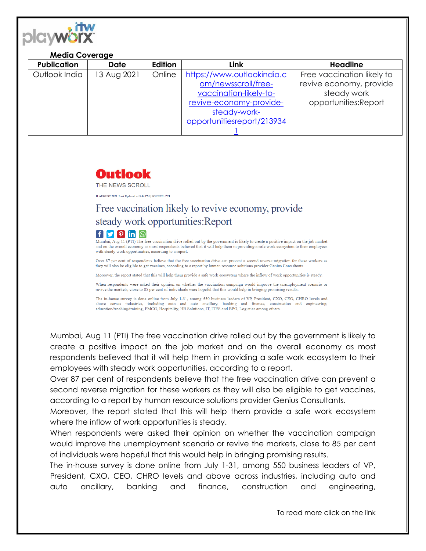

## **Media Coverage**

| <b>Publication</b> | <b>Date</b> | Edition | Link                       | <b>Headline</b>            |
|--------------------|-------------|---------|----------------------------|----------------------------|
| Outlook India      | 13 Aug 2021 | Online  | https://www.outlookindia.c | Free vaccination likely to |
|                    |             |         | om/newsscroll/free-        | revive economy, provide    |
|                    |             |         | vaccination-likely-to-     | steady work                |
|                    |             |         | revive-economy-provide-    | opportunities:Report       |
|                    |             |         | steady-work-               |                            |
|                    |             |         | opportunitiesreport/213934 |                            |
|                    |             |         |                            |                            |

## Outlook

THE NEWS SCROLL

11 AUGUST 2021 Last Updated at 5:44 PM | SOURCE: PTI

## Free vaccination likely to revive economy, provide steady work opportunities: Report



Mumbai, Aug 11 (PTI) The free vaccination drive rolled out by the government is likely to create a positive impact on the job market and on the overall economy as most respondents believed that it will help them in providing a safe work ecosystem to their employees with steady work opportunities, according to a report.

Over 87 per cent of respondents believe that the free vaccination drive can prevent a second reverse migration for these workers as they will also be eligible to get vaccines, according to a report by human resource solutions provider Genius Consultants.

Moreover, the report stated that this will help them provide a safe work ecosystem where the inflow of work opportunities is steady.

When respondents were asked their opinion on whether the vaccination campaign would improve the unemployment scenario or revive the markets, close to 85 per cent of individuals were hopeful that this would help in bringing promising results

The in-house survey is done online from July 1-31, among 550 business leaders of VP, President, CXO, CEO, CHRO levels and above across industries, including auto and auto ancillary, banking and finance, construction and engineering, education/teaching/training, FMCG, Hospitality, HR Solutions, IT, ITES and BPO, Logistics among others.

Mumbai, Aug 11 (PTI) The free vaccination drive rolled out by the government is likely to create a positive impact on the job market and on the overall economy as most respondents believed that it will help them in providing a safe work ecosystem to their employees with steady work opportunities, according to a report.

Over 87 per cent of respondents believe that the free vaccination drive can prevent a second reverse migration for these workers as they will also be eligible to get vaccines, according to a report by human resource solutions provider Genius Consultants.

Moreover, the report stated that this will help them provide a safe work ecosystem where the inflow of work opportunities is steady.

When respondents were asked their opinion on whether the vaccination campaign would improve the unemployment scenario or revive the markets, close to 85 per cent of individuals were hopeful that this would help in bringing promising results.

The in-house survey is done online from July 1-31, among 550 business leaders of VP, President, CXO, CEO, CHRO levels and above across industries, including auto and auto ancillary, banking and finance, construction and engineering,

To read more click on the link